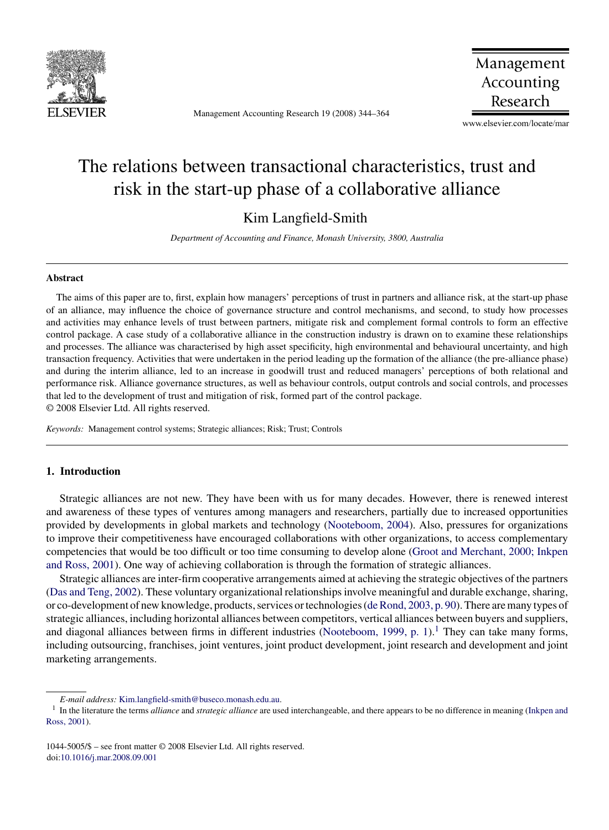

Management Accounting Research 19 (2008) 344–364

Management Accounting Research

www.elsevier.com/locate/mar

## The relations between transactional characteristics, trust and risk in the start-up phase of a collaborative alliance

Kim Langfield-Smith

*Department of Accounting and Finance, Monash University, 3800, Australia*

## **Abstract**

The aims of this paper are to, first, explain how managers' perceptions of trust in partners and alliance risk, at the start-up phase of an alliance, may influence the choice of governance structure and control mechanisms, and second, to study how processes and activities may enhance levels of trust between partners, mitigate risk and complement formal controls to form an effective control package. A case study of a collaborative alliance in the construction industry is drawn on to examine these relationships and processes. The alliance was characterised by high asset specificity, high environmental and behavioural uncertainty, and high transaction frequency. Activities that were undertaken in the period leading up the formation of the alliance (the pre-alliance phase) and during the interim alliance, led to an increase in goodwill trust and reduced managers' perceptions of both relational and performance risk. Alliance governance structures, as well as behaviour controls, output controls and social controls, and processes that led to the development of trust and mitigation of risk, formed part of the control package. © 2008 Elsevier Ltd. All rights reserved.

*Keywords:* Management control systems; Strategic alliances; Risk; Trust; Controls

## **1. Introduction**

Strategic alliances are not new. They have been with us for many decades. However, there is renewed interest and awareness of these types of ventures among managers and researchers, partially due to increased opportunities provided by developments in global markets and technology ([Nooteboom, 2004\).](#page--1-0) Also, pressures for organizations to improve their competitiveness have encouraged collaborations with other organizations, to access complementary competencies that would be too difficult or too time consuming to develop alone ([Groot and Merchant, 2000; Inkpen](#page--1-0) [and Ross, 2001\).](#page--1-0) One way of achieving collaboration is through the formation of strategic alliances.

Strategic alliances are inter-firm cooperative arrangements aimed at achieving the strategic objectives of the partners ([Das and Teng, 2002\).](#page--1-0) These voluntary organizational relationships involve meaningful and durable exchange, sharing, or co-development of new knowledge, products, services or technologies [\(de Rond, 2003, p. 90\).](#page--1-0) There are many types of strategic alliances, including horizontal alliances between competitors, vertical alliances between buyers and suppliers, and diagonal alliances between firms in different industries ([Nooteboom, 1999, p. 1\).](#page--1-0)<sup>1</sup> They can take many forms, including outsourcing, franchises, joint ventures, joint product development, joint research and development and joint marketing arrangements.

*E-mail address:* [Kim.langfield-smith@buseco.monash.edu.au.](mailto:Kim.langfield-smith@buseco.monash.edu.au)

<sup>1</sup> In the literature the terms *alliance* and *strategic alliance* are used interchangeable, and there appears to be no difference in meaning [\(Inkpen and](#page--1-0) [Ross, 2001\).](#page--1-0)

<sup>1044-5005/\$ –</sup> see front matter © 2008 Elsevier Ltd. All rights reserved. doi[:10.1016/j.mar.2008.09.001](dx.doi.org/10.1016/j.mar.2008.09.001)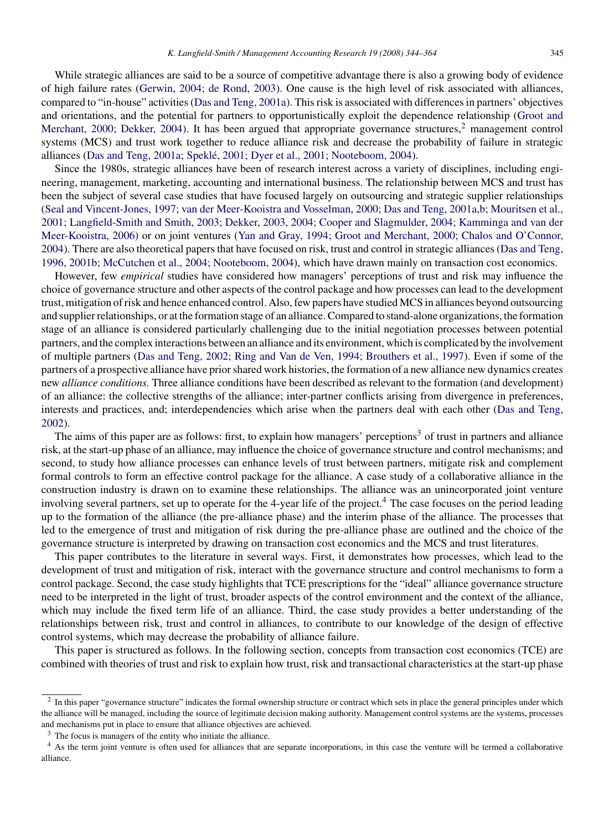While strategic alliances are said to be a source of competitive advantage there is also a growing body of evidence of high failure rates ([Gerwin, 2004; de Rond, 2003\).](#page--1-0) One cause is the high level of risk associated with alliances, compared to "in-house" activities ([Das and Teng, 2001a\).](#page--1-0) This risk is associated with differences in partners' objectives and orientations, and the potential for partners to opportunistically exploit the dependence relationship [\(Groot and](#page--1-0) [Merchant, 2000; Dekker, 2004\).](#page--1-0) It has been argued that appropriate governance structures,<sup>2</sup> management control systems (MCS) and trust work together to reduce alliance risk and decrease the probability of failure in strategic alliances ([Das and Teng, 2001a; Speklé, 2001; Dyer et al., 2001; Nooteboom, 2004\).](#page--1-0)

Since the 1980s, strategic alliances have been of research interest across a variety of disciplines, including engineering, management, marketing, accounting and international business. The relationship between MCS and trust has been the subject of several case studies that have focused largely on outsourcing and strategic supplier relationships [\(Seal and Vincent-Jones, 1997; van der Meer-Kooistra and Vosselman, 2000; Das and Teng, 2001a,b; Mouritsen et al.,](#page--1-0) [2001; Langfield-Smith and Smith, 2003; Dekker, 2003, 2004; Cooper and Slagmulder, 2004; Kamminga and van der](#page--1-0) [Meer-Kooistra, 2006\)](#page--1-0) or on joint ventures ([Yan and Gray, 1994; Groot and Merchant, 2000; Chalos and O'Connor,](#page--1-0) [2004\).](#page--1-0) There are also theoretical papers that have focused on risk, trust and control in strategic alliances [\(Das and Teng,](#page--1-0) [1996, 2001b; McCutchen et al., 2004; Nooteboom, 2004\),](#page--1-0) which have drawn mainly on transaction cost economics.

However, few *empirical* studies have considered how managers' perceptions of trust and risk may influence the choice of governance structure and other aspects of the control package and how processes can lead to the development trust, mitigation of risk and hence enhanced control. Also, few papers have studied MCS in alliances beyond outsourcing and supplier relationships, or at the formation stage of an alliance. Compared to stand-alone organizations, the formation stage of an alliance is considered particularly challenging due to the initial negotiation processes between potential partners, and the complex interactions between an alliance and its environment, which is complicated by the involvement of multiple partners ([Das and Teng, 2002; Ring and Van de Ven, 1994; Brouthers et al., 1997\).](#page--1-0) Even if some of the partners of a prospective alliance have prior shared work histories, the formation of a new alliance new dynamics creates new *alliance conditions.* Three alliance conditions have been described as relevant to the formation (and development) of an alliance: the collective strengths of the alliance; inter-partner conflicts arising from divergence in preferences, interests and practices, and; interdependencies which arise when the partners deal with each other [\(Das and Teng,](#page--1-0) [2002\).](#page--1-0)

The aims of this paper are as follows: first, to explain how managers' perceptions<sup>3</sup> of trust in partners and alliance risk, at the start-up phase of an alliance, may influence the choice of governance structure and control mechanisms; and second, to study how alliance processes can enhance levels of trust between partners, mitigate risk and complement formal controls to form an effective control package for the alliance. A case study of a collaborative alliance in the construction industry is drawn on to examine these relationships. The alliance was an unincorporated joint venture involving several partners, set up to operate for the 4-year life of the project.<sup>4</sup> The case focuses on the period leading up to the formation of the alliance (the pre-alliance phase) and the interim phase of the alliance. The processes that led to the emergence of trust and mitigation of risk during the pre-alliance phase are outlined and the choice of the governance structure is interpreted by drawing on transaction cost economics and the MCS and trust literatures.

This paper contributes to the literature in several ways. First, it demonstrates how processes, which lead to the development of trust and mitigation of risk, interact with the governance structure and control mechanisms to form a control package. Second, the case study highlights that TCE prescriptions for the "ideal" alliance governance structure need to be interpreted in the light of trust, broader aspects of the control environment and the context of the alliance, which may include the fixed term life of an alliance. Third, the case study provides a better understanding of the relationships between risk, trust and control in alliances, to contribute to our knowledge of the design of effective control systems, which may decrease the probability of alliance failure.

This paper is structured as follows. In the following section, concepts from transaction cost economics (TCE) are combined with theories of trust and risk to explain how trust, risk and transactional characteristics at the start-up phase

<sup>&</sup>lt;sup>2</sup> In this paper "governance structure" indicates the formal ownership structure or contract which sets in place the general principles under which the alliance will be managed, including the source of legitimate decision making authority. Management control systems are the systems, processes and mechanisms put in place to ensure that alliance objectives are achieved.

<sup>&</sup>lt;sup>3</sup> The focus is managers of the entity who initiate the alliance.

<sup>&</sup>lt;sup>4</sup> As the term joint venture is often used for alliances that are separate incorporations, in this case the venture will be termed a collaborative alliance.